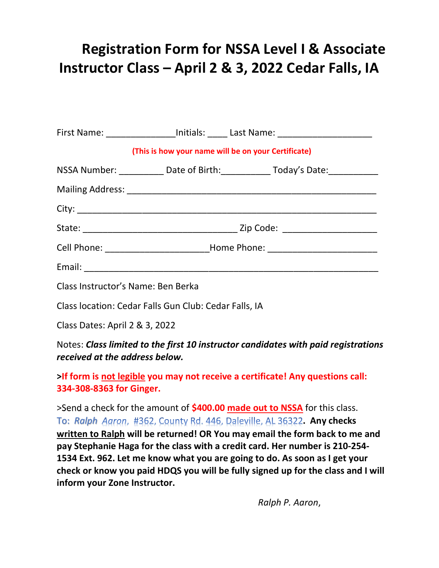## Registration Form for NSSA Level I & Associate Instructor Class – April 2 & 3, 2022 Cedar Falls, IA

|                                                                                                                      |                                                                                  | First Name: ____________________Initials: ______ Last Name: ____________________ |
|----------------------------------------------------------------------------------------------------------------------|----------------------------------------------------------------------------------|----------------------------------------------------------------------------------|
| (This is how your name will be on your Certificate)                                                                  |                                                                                  |                                                                                  |
|                                                                                                                      |                                                                                  | NSSA Number: _____________ Date of Birth:______________ Today's Date:___________ |
|                                                                                                                      |                                                                                  |                                                                                  |
|                                                                                                                      |                                                                                  |                                                                                  |
|                                                                                                                      |                                                                                  |                                                                                  |
|                                                                                                                      | Cell Phone: ________________________________Home Phone: ________________________ |                                                                                  |
|                                                                                                                      |                                                                                  |                                                                                  |
| Class Instructor's Name: Ben Berka                                                                                   |                                                                                  |                                                                                  |
| Class location: Cedar Falls Gun Club: Cedar Falls, IA                                                                |                                                                                  |                                                                                  |
| Class Dates: April 2 & 3, 2022                                                                                       |                                                                                  |                                                                                  |
| Notes: Class limited to the first 10 instructor candidates with paid registrations<br>received at the address below. |                                                                                  |                                                                                  |

>If form is not legible you may not receive a certificate! Any questions call: 334-308-8363 for Ginger.

>Send a check for the amount of \$400.00 made out to NSSA for this class. To: Ralph Agron, #362, County Rd. 446, Daleville, AL 36322. Any checks written to Ralph will be returned! OR You may email the form back to me and pay Stephanie Haga for the class with a credit card. Her number is 210-254- 1534 Ext. 962. Let me know what you are going to do. As soon as I get your check or know you paid HDQS you will be fully signed up for the class and I will inform your Zone Instructor.

Ralph P. Aaron,